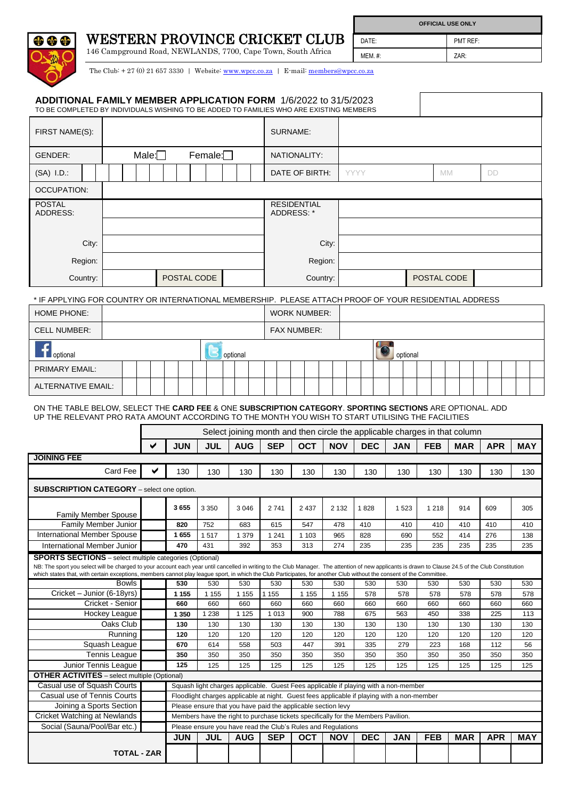| <b>WESTERN PROVINCE CRICKET CLUB</b><br>do do                                                                                                                                                                                                                         |                                              |                      |  |   |                                                              |                |                |                |         |                                  |                                                                                                                                                   |                |                | DATE:      |            |      |            | PMT REF:                                                                   |            |            |            |            |
|-----------------------------------------------------------------------------------------------------------------------------------------------------------------------------------------------------------------------------------------------------------------------|----------------------------------------------|----------------------|--|---|--------------------------------------------------------------|----------------|----------------|----------------|---------|----------------------------------|---------------------------------------------------------------------------------------------------------------------------------------------------|----------------|----------------|------------|------------|------|------------|----------------------------------------------------------------------------|------------|------------|------------|------------|
|                                                                                                                                                                                                                                                                       |                                              |                      |  |   | 146 Campground Road, NEWLANDS, 7700, Cape Town, South Africa |                |                |                |         |                                  |                                                                                                                                                   |                | <b>MEM. #:</b> |            |            | ZAR: |            |                                                                            |            |            |            |            |
|                                                                                                                                                                                                                                                                       |                                              |                      |  |   |                                                              |                |                |                |         |                                  | The Club: $+27(0)$ 21 657 3330   Website: www.wpcc.co.za   E-mail: members@wpcc.co.za                                                             |                |                |            |            |      |            |                                                                            |            |            |            |            |
| ADDITIONAL FAMILY MEMBER APPLICATION FORM 1/6/2022 to 31/5/2023<br>TO BE COMPLETED BY INDIVIDUALS WISHING TO BE ADDED TO FAMILIES WHO ARE EXISTING MEMBERS                                                                                                            |                                              |                      |  |   |                                                              |                |                |                |         |                                  |                                                                                                                                                   |                |                |            |            |      |            |                                                                            |            |            |            |            |
| FIRST NAME(S):                                                                                                                                                                                                                                                        |                                              |                      |  |   |                                                              |                |                |                |         | SURNAME:                         |                                                                                                                                                   |                |                |            |            |      |            |                                                                            |            |            |            |            |
| <b>GENDER:</b>                                                                                                                                                                                                                                                        | Male: $\Box$                                 |                      |  |   |                                                              | Female: $\Box$ |                |                |         |                                  | NATIONALITY:                                                                                                                                      |                |                |            |            |      |            |                                                                            |            |            |            |            |
| $(SA)$ I.D.:                                                                                                                                                                                                                                                          |                                              |                      |  |   |                                                              |                |                |                |         | DATE OF BIRTH:                   |                                                                                                                                                   |                | YYYY           |            |            |      | <b>MM</b>  |                                                                            | DD         |            |            |            |
| OCCUPATION:                                                                                                                                                                                                                                                           |                                              |                      |  |   |                                                              |                |                |                |         |                                  |                                                                                                                                                   |                |                |            |            |      |            |                                                                            |            |            |            |            |
| <b>POSTAL</b><br>ADDRESS:                                                                                                                                                                                                                                             |                                              |                      |  |   |                                                              |                |                |                |         | <b>RESIDENTIAL</b><br>ADDRESS: * |                                                                                                                                                   |                |                |            |            |      |            |                                                                            |            |            |            |            |
|                                                                                                                                                                                                                                                                       |                                              |                      |  |   |                                                              |                |                |                |         |                                  |                                                                                                                                                   |                |                |            |            |      |            |                                                                            |            |            |            |            |
|                                                                                                                                                                                                                                                                       | City:                                        |                      |  |   |                                                              |                |                |                |         |                                  |                                                                                                                                                   | City:          |                |            |            |      |            |                                                                            |            |            |            |            |
|                                                                                                                                                                                                                                                                       | Region:                                      |                      |  |   |                                                              |                |                |                |         |                                  |                                                                                                                                                   | Region:        |                |            |            |      |            |                                                                            |            |            |            |            |
|                                                                                                                                                                                                                                                                       | Country:                                     |                      |  |   | POSTAL CODE                                                  |                |                |                |         |                                  |                                                                                                                                                   | Country:       | POSTAL CODE    |            |            |      |            |                                                                            |            |            |            |            |
| IF APPLYING FOR COUNTRY OR INTERNATIONAL MEMBERSHIP. PLEASE ATTACH PROOF OF YOUR RESIDENTIAL ADDRESS<br>HOME PHONE:                                                                                                                                                   |                                              |                      |  |   |                                                              |                |                |                |         |                                  | <b>WORK NUMBER:</b>                                                                                                                               |                |                |            |            |      |            |                                                                            |            |            |            |            |
| <b>CELL NUMBER:</b>                                                                                                                                                                                                                                                   |                                              |                      |  |   |                                                              |                |                |                |         |                                  | <b>FAX NUMBER:</b>                                                                                                                                |                |                |            |            |      |            |                                                                            |            |            |            |            |
|                                                                                                                                                                                                                                                                       |                                              |                      |  |   |                                                              |                |                |                |         |                                  |                                                                                                                                                   |                |                |            |            |      |            |                                                                            |            |            |            |            |
| optional                                                                                                                                                                                                                                                              |                                              |                      |  |   |                                                              |                |                | optional       |         |                                  |                                                                                                                                                   |                |                |            | optional   |      |            |                                                                            |            |            |            |            |
| <b>PRIMARY EMAIL:</b>                                                                                                                                                                                                                                                 |                                              |                      |  |   |                                                              |                |                |                |         |                                  |                                                                                                                                                   |                |                |            |            |      |            |                                                                            |            |            |            |            |
| <b>ALTERNATIVE EMAIL:</b>                                                                                                                                                                                                                                             |                                              |                      |  |   |                                                              |                |                |                |         |                                  |                                                                                                                                                   |                |                |            |            |      |            |                                                                            |            |            |            |            |
| ON THE TABLE BELOW, SELECT THE CARD FEE & ONE SUBSCRIPTION CATEGORY. SPORTING SECTIONS ARE OPTIONAL. ADD                                                                                                                                                              |                                              |                      |  |   |                                                              |                |                |                |         |                                  |                                                                                                                                                   |                |                |            |            |      |            |                                                                            |            |            |            |            |
|                                                                                                                                                                                                                                                                       |                                              |                      |  |   |                                                              |                |                |                |         |                                  |                                                                                                                                                   |                |                |            |            |      |            |                                                                            |            |            |            |            |
| UP THE RELEVANT PRO RATA AMOUNT ACCORDING TO THE MONTH YOU WISH TO START UTILISING THE FACILITIES                                                                                                                                                                     |                                              |                      |  |   |                                                              |                |                |                |         |                                  |                                                                                                                                                   |                |                |            |            |      |            |                                                                            |            |            |            |            |
|                                                                                                                                                                                                                                                                       |                                              |                      |  |   |                                                              |                |                |                |         |                                  |                                                                                                                                                   |                |                |            |            |      |            | Select joining month and then circle the applicable charges in that column |            |            |            |            |
| JOINING FEE                                                                                                                                                                                                                                                           |                                              |                      |  | ✔ | <b>JUN</b>                                                   |                | <b>JUL</b>     | <b>AUG</b>     |         | <b>SEP</b>                       | <b>OCT</b>                                                                                                                                        | <b>NOV</b>     |                | <b>DEC</b> | <b>JAN</b> |      | <b>FEB</b> | <b>MAR</b>                                                                 |            | <b>APR</b> | <b>MAY</b> |            |
|                                                                                                                                                                                                                                                                       |                                              | Card Fee             |  |   | 130                                                          |                | 130            | 130            |         | 130                              | 130                                                                                                                                               | 130            |                | 130        | 130        |      | 130        | 130                                                                        |            | 130        |            | 130        |
| <b>SUBSCRIPTION CATEGORY</b> - select one option.                                                                                                                                                                                                                     |                                              |                      |  |   |                                                              |                |                |                |         |                                  |                                                                                                                                                   |                |                |            |            |      |            |                                                                            |            |            |            |            |
|                                                                                                                                                                                                                                                                       |                                              |                      |  |   |                                                              |                |                |                |         |                                  |                                                                                                                                                   |                |                |            |            |      |            | 914                                                                        |            |            |            |            |
|                                                                                                                                                                                                                                                                       | <b>Family Member Spouse</b>                  |                      |  |   | 3655                                                         | 3 3 5 0        |                | 3 0 4 6        |         | 2741                             | 2 4 3 7                                                                                                                                           | 2 1 3 2        |                | 1828       | 1523       |      | 1 2 1 8    |                                                                            | 609        |            |            | 305        |
| <b>International Member Spouse</b>                                                                                                                                                                                                                                    | Family Member Junior                         |                      |  |   | 820<br>1655                                                  | 752<br>1517    |                | 683<br>1 379   |         | 615<br>1 2 4 1                   | 547<br>1 1 0 3                                                                                                                                    | 478<br>965     |                | 410<br>828 | 410<br>690 |      | 410<br>552 | 410<br>414                                                                 | 410<br>276 |            |            | 410<br>138 |
| International Member Junior                                                                                                                                                                                                                                           |                                              |                      |  |   | 470                                                          | 431            |                | 392            |         | 353                              | 313                                                                                                                                               | 274            |                | 235        | 235        |      | 235        | 235                                                                        | 235        |            |            | 235        |
| <b>SPORTS SECTIONS</b> - select multiple categories (Optional)<br>NB: The sport you select will be charged to your account each year until cancelled in writing to the Club Manager. The attention of new applicants is drawn to Clause 24.5 of the Club Constitution |                                              |                      |  |   |                                                              |                |                |                |         |                                  |                                                                                                                                                   |                |                |            |            |      |            |                                                                            |            |            |            |            |
| which states that, with certain exceptions, members cannot play league sport, in which the Club Participates, for another Club without the consent of the Committee.                                                                                                  |                                              |                      |  |   |                                                              |                |                |                |         |                                  |                                                                                                                                                   |                |                |            |            |      |            |                                                                            |            |            |            |            |
|                                                                                                                                                                                                                                                                       | Cricket - Junior (6-18yrs)                   | <b>Bowls</b>         |  |   | 530<br>1 1 5 5                                               |                | 530<br>1 1 5 5 | 530<br>1 1 5 5 | 1 1 5 5 | 530                              | 530<br>1 1 5 5                                                                                                                                    | 530<br>1 1 5 5 |                | 530<br>578 | 530<br>578 |      | 530<br>578 | 530<br>578                                                                 |            | 530<br>578 | 530        | 578        |
|                                                                                                                                                                                                                                                                       | Cricket - Senior                             |                      |  |   | 660                                                          |                | 660            | 660            |         | 660                              | 660                                                                                                                                               | 660            |                | 660        | 660        |      | 660        | 660                                                                        |            | 660        | 660        |            |
|                                                                                                                                                                                                                                                                       | Hockey League                                |                      |  |   | 1 350<br>130                                                 |                | 1 2 3 8<br>130 | 1 1 2 5<br>130 |         | 1 0 1 3                          | 900                                                                                                                                               | 788<br>130     |                | 675        | 563        |      | 450        | 338<br>130                                                                 |            | 225        |            | 113        |
|                                                                                                                                                                                                                                                                       |                                              | Oaks Club<br>Running |  |   | 120                                                          |                | 120            | 120            |         | 130<br>120                       | 130<br>120                                                                                                                                        | 120            |                | 130<br>120 | 130<br>120 |      | 130<br>120 | 120                                                                        |            | 130<br>120 | 130<br>120 |            |
|                                                                                                                                                                                                                                                                       | Squash League                                |                      |  |   | 670                                                          |                | 614            | 558            |         | 503                              | 447                                                                                                                                               | 391            |                | 335        | 279        |      | 223        | 168                                                                        |            | 112        |            | 56         |
|                                                                                                                                                                                                                                                                       | <b>Tennis League</b><br>Junior Tennis League |                      |  |   | 350<br>125                                                   |                | 350<br>125     | 350<br>125     |         | 350<br>125                       | 350<br>125                                                                                                                                        | 350<br>125     |                | 350<br>125 | 350<br>125 |      | 350<br>125 | 350<br>125                                                                 |            | 350<br>125 | 350<br>125 |            |
| <b>OTHER ACTIVITES</b> - select multiple (Optional)                                                                                                                                                                                                                   |                                              |                      |  |   |                                                              |                |                |                |         |                                  |                                                                                                                                                   |                |                |            |            |      |            |                                                                            |            |            |            |            |
| Casual use of Squash Courts                                                                                                                                                                                                                                           |                                              |                      |  |   |                                                              |                |                |                |         |                                  | Squash light charges applicable. Guest Fees applicable if playing with a non-member                                                               |                |                |            |            |      |            |                                                                            |            |            |            |            |
| Casual use of Tennis Courts                                                                                                                                                                                                                                           |                                              |                      |  |   |                                                              |                |                |                |         |                                  | Floodlight charges applicable at night. Guest fees applicable if playing with a non-member                                                        |                |                |            |            |      |            |                                                                            |            |            |            |            |
| Cricket Watching at Newlands                                                                                                                                                                                                                                          | Joining a Sports Section                     |                      |  |   |                                                              |                |                |                |         |                                  | Please ensure that you have paid the applicable section levy<br>Members have the right to purchase tickets specifically for the Members Pavilion. |                |                |            |            |      |            |                                                                            |            |            |            |            |
| Social (Sauna/Pool/Bar etc.)                                                                                                                                                                                                                                          |                                              |                      |  |   |                                                              |                |                |                |         |                                  | Please ensure you have read the Club's Rules and Regulations                                                                                      |                |                |            |            |      |            |                                                                            |            |            |            |            |
|                                                                                                                                                                                                                                                                       |                                              | <b>TOTAL - ZAR</b>   |  |   | <b>JUN</b>                                                   |                | <b>JUL</b>     | <b>AUG</b>     |         | <b>SEP</b>                       | <b>OCT</b>                                                                                                                                        | <b>NOV</b>     |                | <b>DEC</b> | <b>JAN</b> |      | <b>FEB</b> | <b>MAR</b>                                                                 |            | <b>APR</b> | <b>MAY</b> |            |

**OFFICIAL USE ONLY**